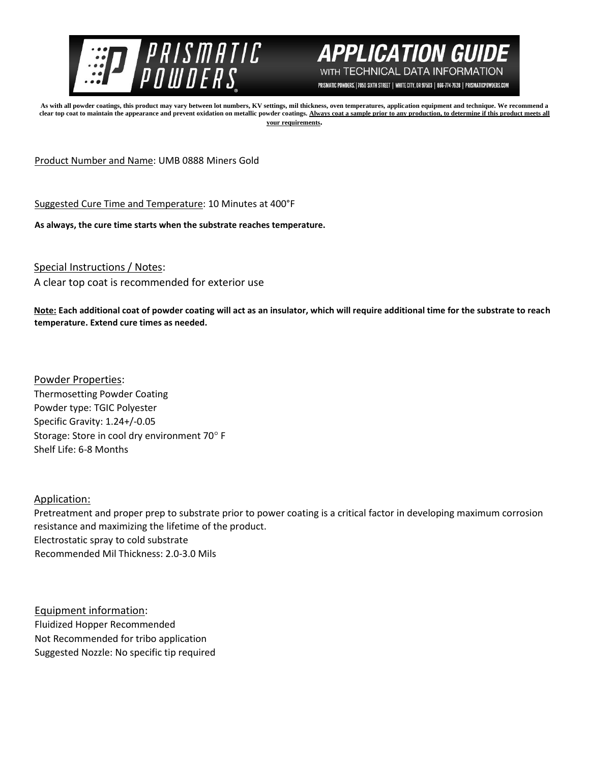



PRISMATIC POWDERS. | 7050 SIXTH STREET | WHITE CITY, OR 97503 | 866-774-7628 | PRISMATICPOWDERS.COM

**As with all powder coatings, this product may vary between lot numbers, KV settings, mil thickness, oven temperatures, application equipment and technique. We recommend a**  clear top coat to maintain the appearance and prevent oxidation on metallic powder coatings. Always coat a sample prior to any production, to determine if this product meets all **your requirements.** 

Product Number and Name: UMB 0888 Miners Gold

Suggested Cure Time and Temperature: 10 Minutes at 400°F

**As always, the cure time starts when the substrate reaches temperature.**

Special Instructions / Notes:

A clear top coat is recommended for exterior use

**Note: Each additional coat of powder coating will act as an insulator, which will require additional time for the substrate to reach temperature. Extend cure times as needed.** 

Powder Properties: Thermosetting Powder Coating Powder type: TGIC Polyester Specific Gravity: 1.24+/-0.05 Storage: Store in cool dry environment 70° F Shelf Life: 6-8 Months

Application:

Pretreatment and proper prep to substrate prior to power coating is a critical factor in developing maximum corrosion resistance and maximizing the lifetime of the product. Electrostatic spray to cold substrate Recommended Mil Thickness: 2.0-3.0 Mils

Equipment information: Fluidized Hopper Recommended Not Recommended for tribo application Suggested Nozzle: No specific tip required